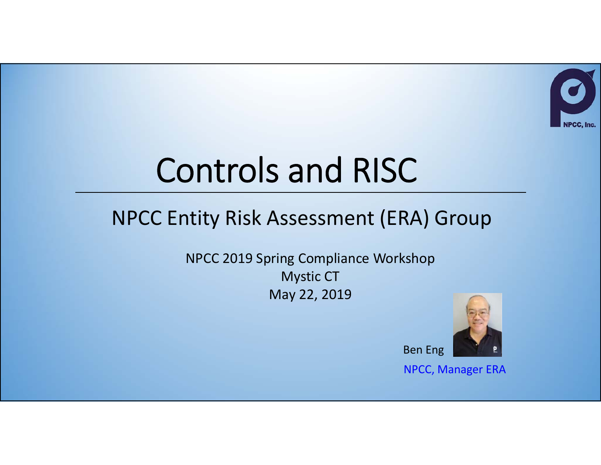

# Controls and RISC

# NPCC Entity Risk Assessment (ERA) Group

NPCC 2019 Spring Compliance Workshop Mystic CT May 22, 2019



Ben Eng

NPCC, Manager ERA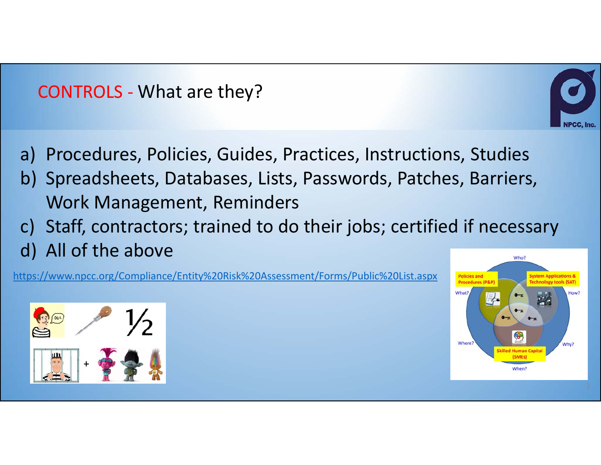

- a) Procedures, Policies, Guides, Practices, Instructions, Studies
- b) Spreadsheets, Databases, Lists, Passwords, Patches, Barriers, Work Management, Reminders
- c) Staff, contractors; trained to do their jobs; certified if necessary d) All of the above

https://www.npcc.org/Compliance/Entity%20Risk%20Assessment/Forms/Public%20List.aspx





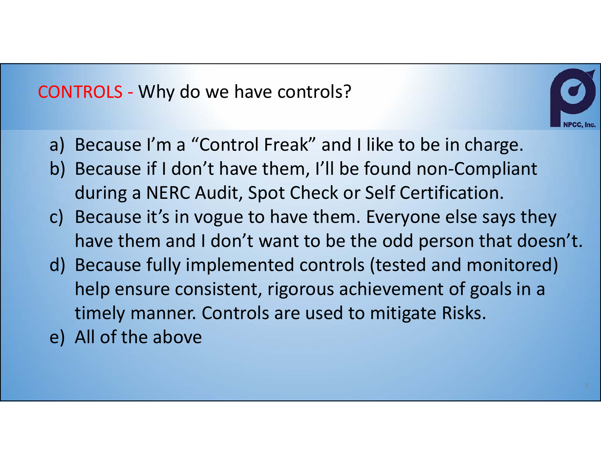## CONTROLS ‐ Why do we have controls?



- a) Because I'm a "Control Freak" and I like to be in charge.
- b) Because if I don't have them, I'll be found non‐Compliant during a NERC Audit, Spot Check or Self Certification.
- c) Because it's in vogue to have them. Everyone else says they have them and I don't want to be the odd person that doesn't.
- d) Because fully implemented controls (tested and monitored) help ensure consistent, rigorous achievement of goals in a timely manner. Controls are used to mitigate Risks.
- e) All of the above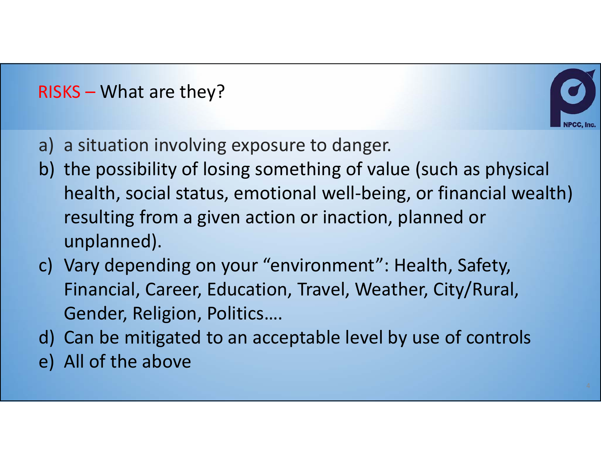## RISKS – What are they?



- a) a situation involving exposure to danger.
- b) the possibility of losing something of value (such as physical health, social status, emotional well-being, or financial wealth) resulting from a given action or inaction, planned or unplanned).
- c) Vary depending on your "environment": Health, Safety, Financial, Career, Education, Travel, Weather, City/Rural, Gender, Religion, Politics….
- d) Can be mitigated to an acceptable level by use of controls
- e) All of the above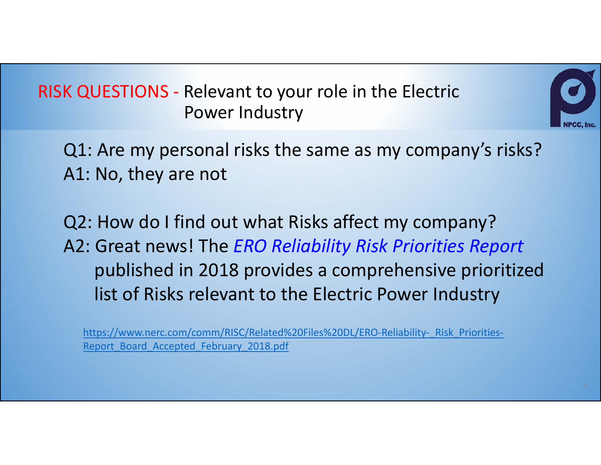RISK QUESTIONS ‐ Relevant to your role in the Electric Power Industry

Q1: Are my personal risks the same as my company's risks? A1: No, they are not

Q2: How do I find out what Risks affect my company? A2: Great news! The *ERO Reliability Risk Priorities Report* published in 2018 provides a comprehensive prioritized list of Risks relevant to the Electric Power Industry

https://www.nerc.com/comm/RISC/Related%20Files%20DL/ERO-Reliability- Risk Priorities-Report\_Board\_Accepted\_February\_2018.pdf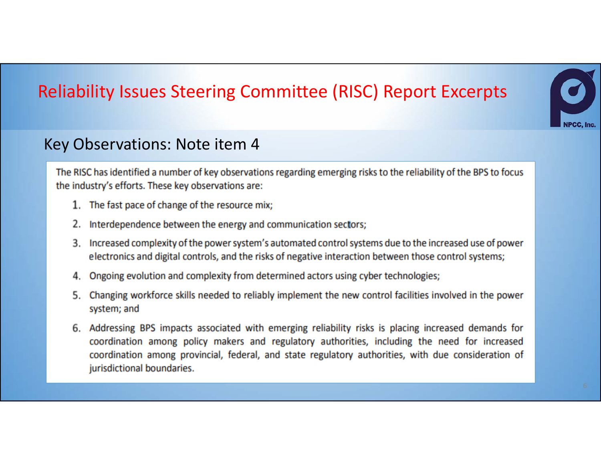## Reliability Issues Steering Committee (RISC) Report Excerpts

### Key Observations: Note item 4

The RISC has identified a number of key observations regarding emerging risks to the reliability of the BPS to focus the industry's efforts. These key observations are:

- 1. The fast pace of change of the resource mix;
- 2. Interdependence between the energy and communication sectors;
- 3. Increased complexity of the power system's automated control systems due to the increased use of power electronics and digital controls, and the risks of negative interaction between those control systems;
- 4. Ongoing evolution and complexity from determined actors using cyber technologies;
- 5. Changing workforce skills needed to reliably implement the new control facilities involved in the power system; and
- 6. Addressing BPS impacts associated with emerging reliability risks is placing increased demands for coordination among policy makers and regulatory authorities, including the need for increased coordination among provincial, federal, and state regulatory authorities, with due consideration of jurisdictional boundaries.



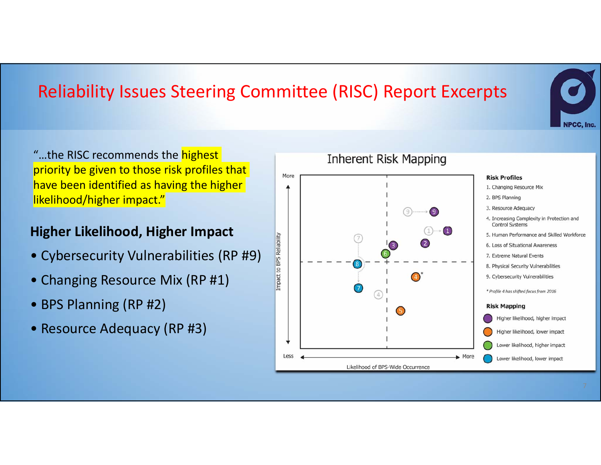## Reliability Issues Steering Committee (RISC) Report Excerpts



"...the RISC recommends the **highest** priority be given to those risk profiles that have been identified as having the higher likelihood/higher impact."

### **Higher Likelihood, Higher Impact**

- Cybersecurity Vulnerabilities (RP #9)
- Changing Resource Mix (RP #1)
- BPS Planning (RP #2)
- Resource Adequacy (RP #3)

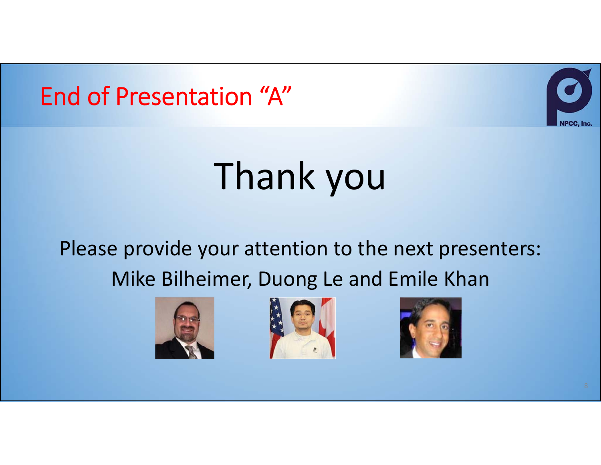



# Thank you

Please provide your attention to the next presenters:

Mike Bilheimer, Duong Le and Emile Khan





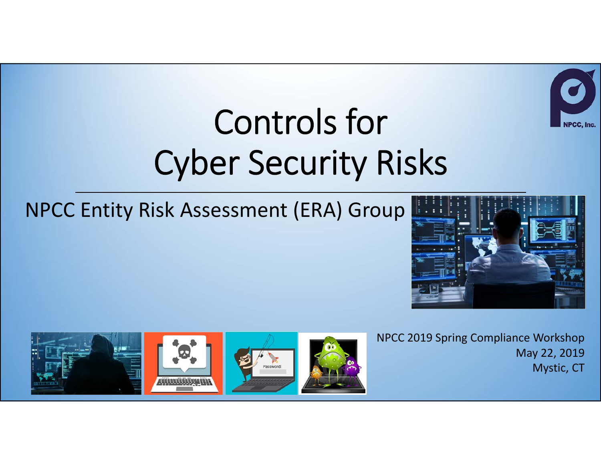

# Controls for Cyber Security Risks

# NPCC Entity Risk Assessment (ERA) Group





NPCC 2019 Spring Compliance Workshop May 22, 2019 Mystic, CT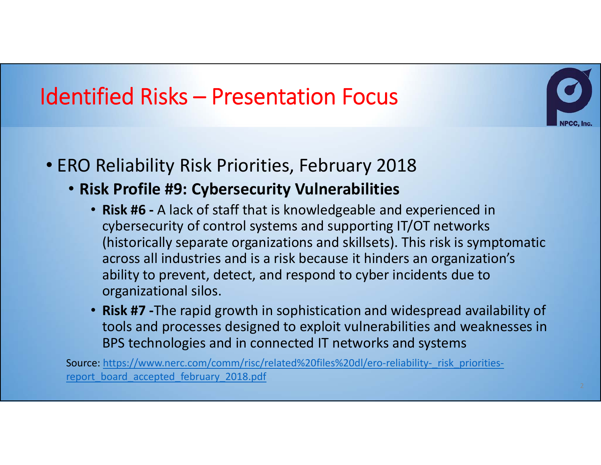

# Identified Risks – Presentation Focus

- ERO Reliability Risk Priorities, February 2018
	- **Risk Profile #9: Cybersecurity Vulnerabilities**
		- **Risk #6 ‐** A lack of staff that is knowledgeable and experienced in cybersecurity of control systems and supporting IT/OT networks (historically separate organizations and skillsets). This risk is symptomatic across all industries and is a risk because it hinders an organization's ability to prevent, detect, and respond to cyber incidents due to organizational silos.
		- **Risk #7 ‐**The rapid growth in sophistication and widespread availability of tools and processes designed to exploit vulnerabilities and weaknesses in BPS technologies and in connected IT networks and systems

Source: https://www.nerc.com/comm/risc/related%20files%20dl/ero-reliability- risk\_prioritiesreport board accepted february 2018.pdf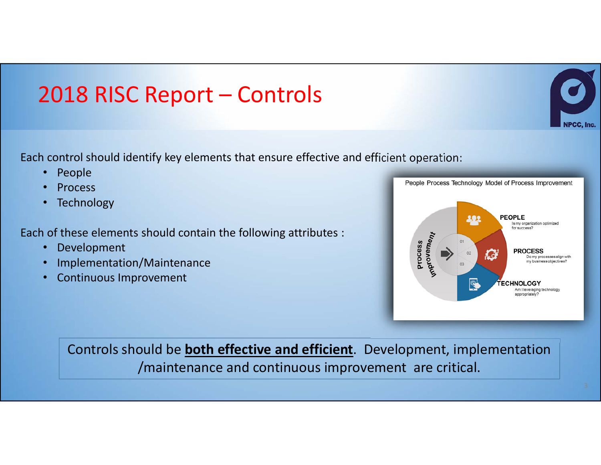# 2018 RISC Report – Controls

Each control should identify key elements that ensure effective and efficient operation:

- $\bullet$ People
- •Process
- $\bullet$ Technology

Each of these elements should contain the following attributes :

- •Development
- •Implementation/Maintenance
- $\bullet$ Continuous Improvement



Controls should be **both effective and efficient**. Development, implementation /maintenance and continuous improvement are critical.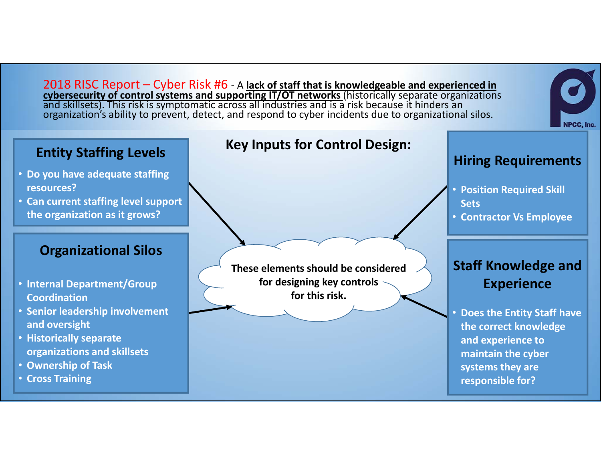2018 RISC Report – Cyber Risk #6 - A <u>lack of staff that is knowledgeable and experienced in</u><br>cybersecurity of control systems and supporting IT/OT networks (historically separate organizations<br>and skillsets). This risk is

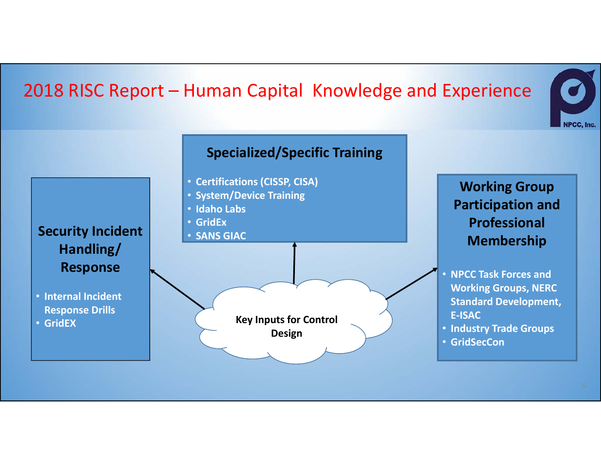## 2018 RISC Report – Human Capital Knowledge and Experience

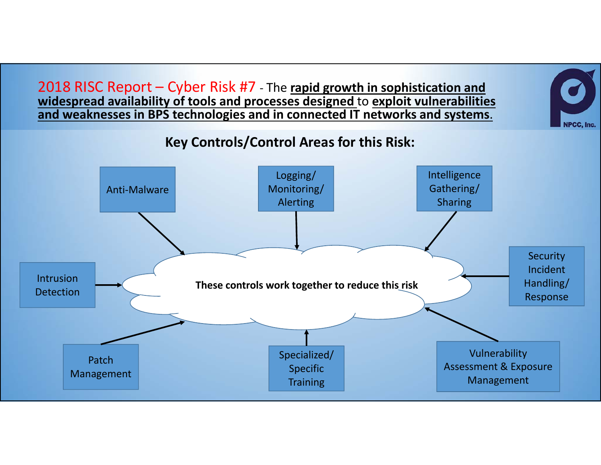2018 RISC Report – Cyber Risk #7 ‐ The **rapid growth in sophistication and widespread availability of tools and processes designed** to **exploit vulnerabilities and weaknesses in BPS technologies and in connected IT networks and systems**.

### **Key Controls/Control Areas for this Risk:**

NPCC, Inc.

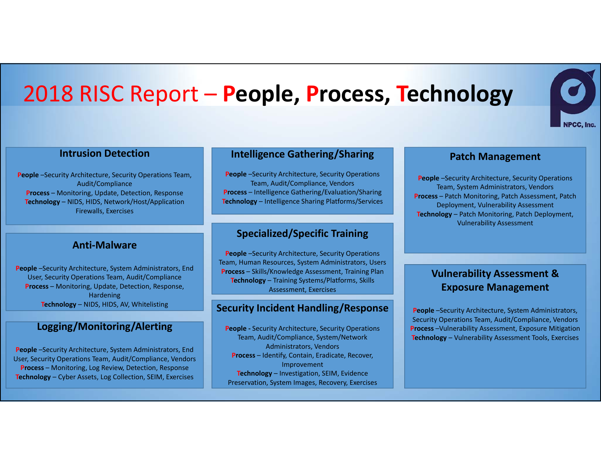# 2018 RISC Report – **People, Process, Technology**



#### **Intrusion Detection**

**People** –Security Architecture, Security Operations Team, Audit/Compliance **Process** – Monitoring, Update, Detection, Response **Technology** – NIDS, HIDS, Network/Host/Application Firewalls, Exercises

#### **Anti‐Malware**

**People** –Security Architecture, System Administrators, End User, Security Operations Team, Audit/Compliance **Process** – Monitoring, Update, Detection, Response, Hardening **Technology** – NIDS, HIDS, AV, Whitelisting

#### **Logging/Monitoring/Alerting**

**People** –Security Architecture, System Administrators, End User, Security Operations Team, Audit/Compliance, Vendors **Process** – Monitoring, Log Review, Detection, Response **Technology** – Cyber Assets, Log Collection, SEIM, Exercises

#### **Intelligence Gathering/Sharing**

**People** –Security Architecture, Security Operations Team, Audit/Compliance, Vendors **Process** – Intelligence Gathering/Evaluation/Sharing **Technology** – Intelligence Sharing Platforms/Services

#### **Specialized/Specific Training**

**People** –Security Architecture, Security Operations Team, Human Resources, System Administrators, Users **Process** – Skills/Knowledge Assessment, Training Plan **Technology** – Training Systems/Platforms, Skills Assessment, Exercises

#### **Security Incident Handling/Response**

**People ‐** Security Architecture, Security Operations Team, Audit/Compliance, System/Network Administrators, Vendors **Process** – Identify, Contain, Eradicate, Recover, Improvement **Technology** – Investigation, SEIM, Evidence Preservation, System Images, Recovery, Exercises

#### **Patch Management**

**People** –Security Architecture, Security Operations Team, System Administrators, Vendors **Process** – Patch Monitoring, Patch Assessment, Patch Deployment, Vulnerability Assessment **Technology** – Patch Monitoring, Patch Deployment, Vulnerability Assessment

#### **Vulnerability Assessment & Exposure Management**

**People** –Security Architecture, System Administrators, Security Operations Team, Audit/Compliance, Vendors **Process** –Vulnerability Assessment, Exposure Mitigation **Technology** – Vulnerability Assessment Tools, Exercises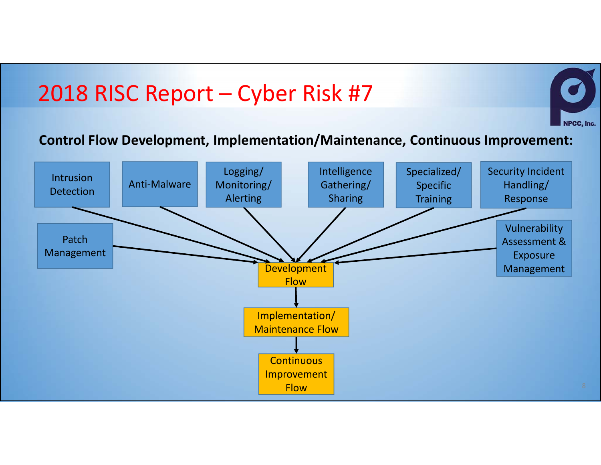# 2018 RISC Report – Cyber Risk #7

### **Control Flow Development, Implementation/Maintenance, Continuous Improvement:**

NPCC, Inc.

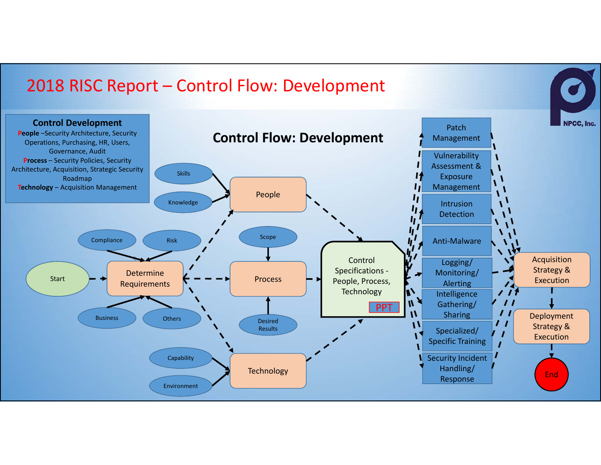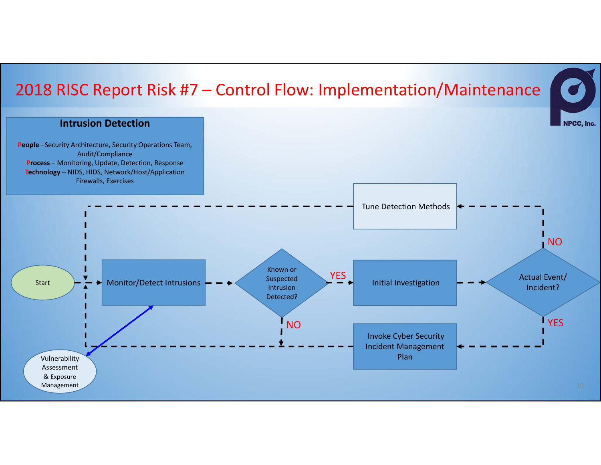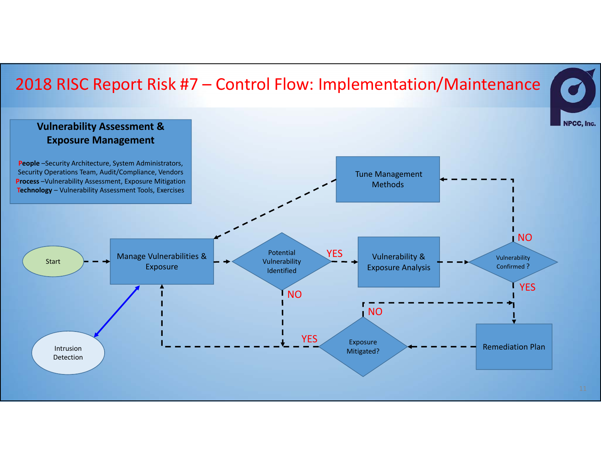### 2018 RISC Report Risk #7 – Control Flow: Implementation/Maintenance

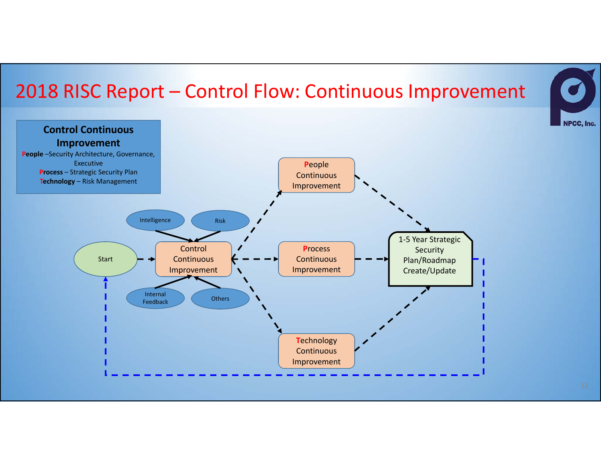# 2018 RISC Report – Control Flow: Continuous Improvement

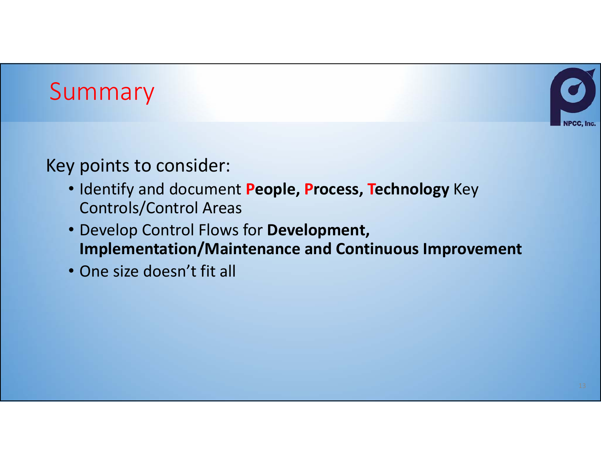# Summary

Key points to consider:

- Identify and document **People, Process, Technology** Key Controls/Control Areas
- Develop Control Flows for **Development, Implementation/Maintenance and Continuous Improvement**
- One size doesn't fit all